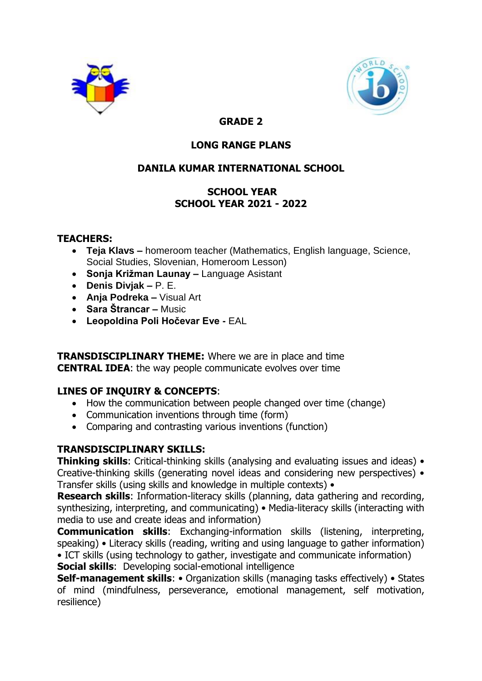



# **GRADE 2**

# **LONG RANGE PLANS**

# **DANILA KUMAR INTERNATIONAL SCHOOL**

# **SCHOOL YEAR SCHOOL YEAR 2021 - 2022**

#### **TEACHERS:**

- **Teja Klavs –** homeroom teacher (Mathematics, English language, Science, Social Studies, Slovenian, Homeroom Lesson)
- **Sonja Križman Launay –** Language Asistant
- **Denis Divjak –** P. E.
- **Anja Podreka –** Visual Art
- **Sara Štrancar –** Music
- **Leopoldina Poli Hočevar Eve -** EAL

**TRANSDISCIPLINARY THEME:** Where we are in place and time **CENTRAL IDEA**: the way people communicate evolves over time

# **LINES OF INQUIRY & CONCEPTS**:

- How the communication between people changed over time (change)
- Communication inventions through time (form)
- Comparing and contrasting various inventions (function)

# **TRANSDISCIPLINARY SKILLS:**

**Thinking skills**: Critical-thinking skills (analysing and evaluating issues and ideas) • Creative-thinking skills (generating novel ideas and considering new perspectives) • Transfer skills (using skills and knowledge in multiple contexts) •

**Research skills**: Information-literacy skills (planning, data gathering and recording, synthesizing, interpreting, and communicating) • Media-literacy skills (interacting with media to use and create ideas and information)

**Communication skills**: Exchanging-information skills (listening, interpreting, speaking) • Literacy skills (reading, writing and using language to gather information) • ICT skills (using technology to gather, investigate and communicate information)

**Social skills**: Developing social-emotional intelligence

**Self-management skills**: • Organization skills (managing tasks effectively) • States of mind (mindfulness, perseverance, emotional management, self motivation, resilience)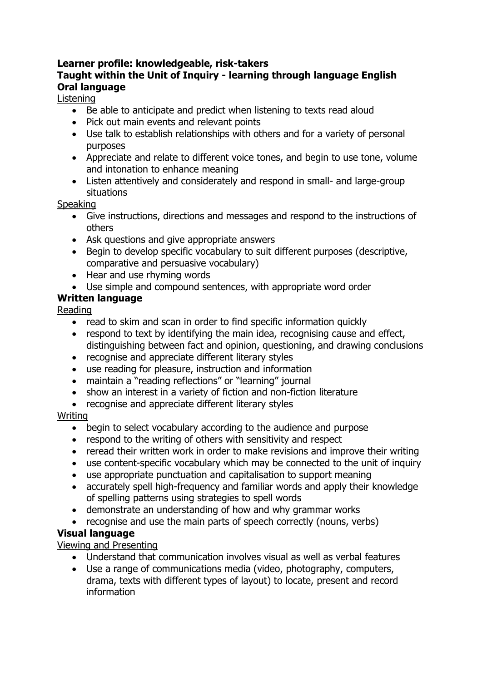# **Learner profile: knowledgeable, risk-takers**

### **Taught within the Unit of Inquiry - learning through language English Oral language**

#### Listening

- Be able to anticipate and predict when listening to texts read aloud
- Pick out main events and relevant points
- Use talk to establish relationships with others and for a variety of personal purposes
- Appreciate and relate to different voice tones, and begin to use tone, volume and intonation to enhance meaning
- Listen attentively and considerately and respond in small- and large-group situations

#### Speaking

- Give instructions, directions and messages and respond to the instructions of others
- Ask questions and give appropriate answers
- Begin to develop specific vocabulary to suit different purposes (descriptive, comparative and persuasive vocabulary)
- Hear and use rhyming words
- Use simple and compound sentences, with appropriate word order

# **Written language**

Reading

- read to skim and scan in order to find specific information quickly
- respond to text by identifying the main idea, recognising cause and effect, distinguishing between fact and opinion, questioning, and drawing conclusions
- recognise and appreciate different literary styles
- use reading for pleasure, instruction and information
- maintain a "reading reflections" or "learning" journal
- show an interest in a variety of fiction and non-fiction literature
- recognise and appreciate different literary styles

#### Writing

- begin to select vocabulary according to the audience and purpose
- respond to the writing of others with sensitivity and respect
- reread their written work in order to make revisions and improve their writing
- use content-specific vocabulary which may be connected to the unit of inquiry
- use appropriate punctuation and capitalisation to support meaning
- accurately spell high-frequency and familiar words and apply their knowledge of spelling patterns using strategies to spell words
- demonstrate an understanding of how and why grammar works
- recognise and use the main parts of speech correctly (nouns, verbs)

# **Visual language**

Viewing and Presenting

- Understand that communication involves visual as well as verbal features
- Use a range of communications media (video, photography, computers, drama, texts with different types of layout) to locate, present and record information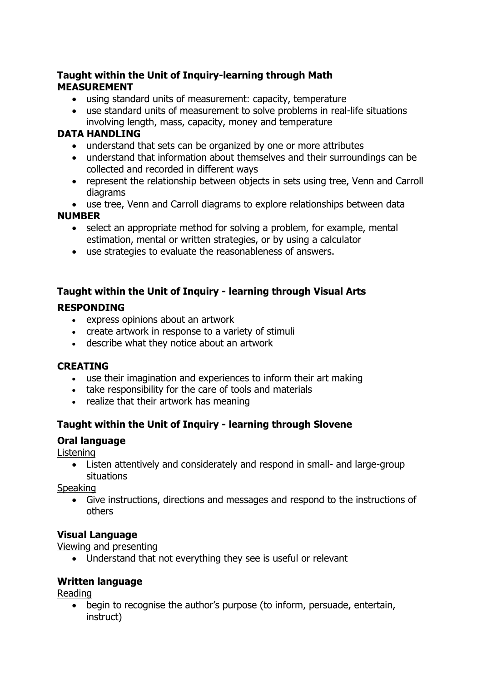#### **Taught within the Unit of Inquiry-learning through Math MEASUREMENT**

- using standard units of measurement: capacity, temperature
- use standard units of measurement to solve problems in real-life situations involving length, mass, capacity, money and temperature

#### **DATA HANDLING**

- understand that sets can be organized by one or more attributes
- understand that information about themselves and their surroundings can be collected and recorded in different ways
- represent the relationship between objects in sets using tree, Venn and Carroll diagrams

use tree, Venn and Carroll diagrams to explore relationships between data

#### **NUMBER**

- select an appropriate method for solving a problem, for example, mental estimation, mental or written strategies, or by using a calculator
- use strategies to evaluate the reasonableness of answers.

# **Taught within the Unit of Inquiry - learning through Visual Arts**

#### **RESPONDING**

- express opinions about an artwork
- create artwork in response to a variety of stimuli
- describe what they notice about an artwork

# **CREATING**

- use their imagination and experiences to inform their art making
- take responsibility for the care of tools and materials
- realize that their artwork has meaning

# **Taught within the Unit of Inquiry - learning through Slovene**

#### **Oral language**

**Listening** 

 Listen attentively and considerately and respond in small- and large-group situations

Speaking

 Give instructions, directions and messages and respond to the instructions of others

# **Visual Language**

Viewing and presenting

Understand that not everything they see is useful or relevant

# **Written language**

Reading

 begin to recognise the author's purpose (to inform, persuade, entertain, instruct)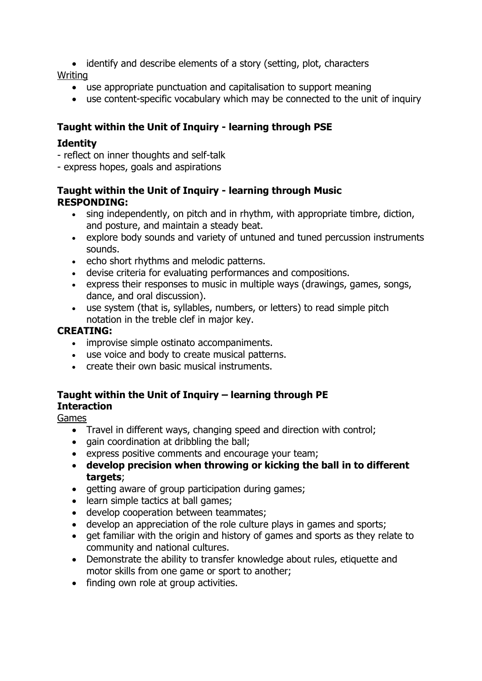identify and describe elements of a story (setting, plot, characters

Writing

- use appropriate punctuation and capitalisation to support meaning
- use content-specific vocabulary which may be connected to the unit of inquiry

### **Taught within the Unit of Inquiry - learning through PSE**

#### **Identity**

- reflect on inner thoughts and self-talk
- express hopes, goals and aspirations

#### **Taught within the Unit of Inquiry - learning through Music RESPONDING:**

- sing independently, on pitch and in rhythm, with appropriate timbre, diction, and posture, and maintain a steady beat.
- explore body sounds and variety of untuned and tuned percussion instruments sounds.
- echo short rhythms and melodic patterns.
- devise criteria for evaluating performances and compositions.
- express their responses to music in multiple ways (drawings, games, songs, dance, and oral discussion).
- use system (that is, syllables, numbers, or letters) to read simple pitch notation in the treble clef in major key.

#### **CREATING:**

- improvise simple ostinato accompaniments.
- use voice and body to create musical patterns.
- create their own basic musical instruments.

#### **Taught within the Unit of Inquiry – learning through PE Interaction**

#### Games

- Travel in different ways, changing speed and direction with control;
- gain coordination at dribbling the ball;
- express positive comments and encourage your team;
- **develop precision when throwing or kicking the ball in to different targets**;
- getting aware of group participation during games;
- learn simple tactics at ball games;
- develop cooperation between teammates;
- develop an appreciation of the role culture plays in games and sports;
- get familiar with the origin and history of games and sports as they relate to community and national cultures.
- Demonstrate the ability to transfer knowledge about rules, etiquette and motor skills from one game or sport to another;
- finding own role at group activities.